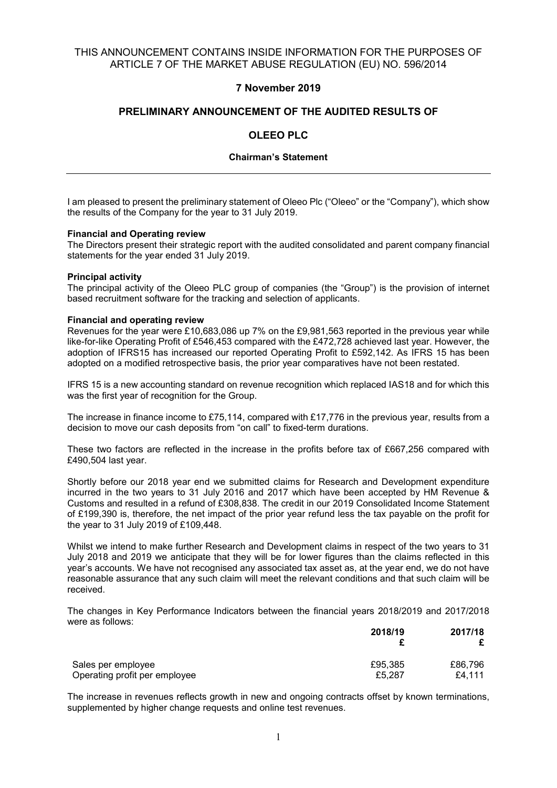## THIS ANNOUNCEMENT CONTAINS INSIDE INFORMATION FOR THE PURPOSES OF ARTICLE 7 OF THE MARKET ABUSE REGULATION (EU) NO. 596/2014

### **7 November 2019**

### **PRELIMINARY ANNOUNCEMENT OF THE AUDITED RESULTS OF**

### **OLEEO PLC**

### **Chairman's Statement**

I am pleased to present the preliminary statement of Oleeo Plc ("Oleeo" or the "Company"), which show the results of the Company for the year to 31 July 2019.

### **Financial and Operating review**

The Directors present their strategic report with the audited consolidated and parent company financial statements for the year ended 31 July 2019.

#### **Principal activity**

The principal activity of the Oleeo PLC group of companies (the "Group") is the provision of internet based recruitment software for the tracking and selection of applicants.

#### **Financial and operating review**

Revenues for the year were £10,683,086 up 7% on the £9,981,563 reported in the previous year while like-for-like Operating Profit of £546,453 compared with the £472,728 achieved last year. However, the adoption of IFRS15 has increased our reported Operating Profit to £592,142. As IFRS 15 has been adopted on a modified retrospective basis, the prior year comparatives have not been restated.

IFRS 15 is a new accounting standard on revenue recognition which replaced IAS18 and for which this was the first year of recognition for the Group.

The increase in finance income to £75,114, compared with £17,776 in the previous year, results from a decision to move our cash deposits from "on call" to fixed-term durations.

These two factors are reflected in the increase in the profits before tax of £667,256 compared with £490,504 last year.

Shortly before our 2018 year end we submitted claims for Research and Development expenditure incurred in the two years to 31 July 2016 and 2017 which have been accepted by HM Revenue & Customs and resulted in a refund of £308,838. The credit in our 2019 Consolidated Income Statement of £199,390 is, therefore, the net impact of the prior year refund less the tax payable on the profit for the year to 31 July 2019 of £109,448.

Whilst we intend to make further Research and Development claims in respect of the two years to 31 July 2018 and 2019 we anticipate that they will be for lower figures than the claims reflected in this year's accounts. We have not recognised any associated tax asset as, at the year end, we do not have reasonable assurance that any such claim will meet the relevant conditions and that such claim will be received.

The changes in Key Performance Indicators between the financial years 2018/2019 and 2017/2018 were as follows:

|                               | 2018/19 | 2017/18 |
|-------------------------------|---------|---------|
|                               |         |         |
| Sales per employee            | £95.385 | £86.796 |
| Operating profit per employee | £5.287  | £4.111  |

The increase in revenues reflects growth in new and ongoing contracts offset by known terminations, supplemented by higher change requests and online test revenues.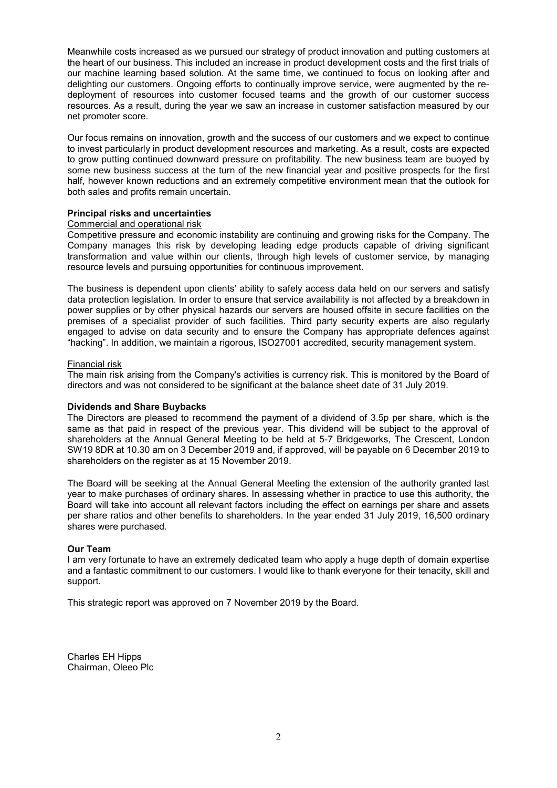Meanwhile costs increased as we pursued our strategy of product innovation and putting customers at the heart of our business. This included an increase in product development costs and the first trials of our machine learning based solution. At the same time, we continued to focus on looking after and delighting our customers. Ongoing efforts to continually improve service, were augmented by the redeployment of resources into customer focused teams and the growth of our customer success resources. As a result, during the year we saw an increase in customer satisfaction measured by our net promoter score.

Our focus remains on innovation, growth and the success of our customers and we expect to continue to invest particularly in product development resources and marketing. As a result, costs are expected to grow putting continued downward pressure on profitability. The new business team are buoyed by some new business success at the turn of the new financial year and positive prospects for the first half, however known reductions and an extremely competitive environment mean that the outlook for both sales and profits remain uncertain.

### **Principal risks and uncertainties**

### Commercial and operational risk

Competitive pressure and economic instability are continuing and growing risks for the Company. The Company manages this risk by developing leading edge products capable of driving significant transformation and value within our clients, through high levels of customer service, by managing resource levels and pursuing opportunities for continuous improvement.

The business is dependent upon clients' ability to safely access data held on our servers and satisfy data protection legislation. In order to ensure that service availability is not affected by a breakdown in power supplies or by other physical hazards our servers are housed offsite in secure facilities on the premises of a specialist provider of such facilities. Third party security experts are also regularly engaged to advise on data security and to ensure the Company has appropriate defences against "hacking". In addition, we maintain a rigorous, ISO27001 accredited, security management system.

### Financial risk

The main risk arising from the Company's activities is currency risk. This is monitored by the Board of directors and was not considered to be significant at the balance sheet date of 31 July 2019.

### **Dividends and Share Buybacks**

The Directors are pleased to recommend the payment of a dividend of 3.5p per share, which is the same as that paid in respect of the previous year. This dividend will be subject to the approval of shareholders at the Annual General Meeting to be held at 5-7 Bridgeworks, The Crescent, London SW19 8DR at 10.30 am on 3 December 2019 and, if approved, will be payable on 6 December 2019 to shareholders on the register as at 15 November 2019.

The Board will be seeking at the Annual General Meeting the extension of the authority granted last year to make purchases of ordinary shares. In assessing whether in practice to use this authority, the Board will take into account all relevant factors including the effect on earnings per share and assets per share ratios and other benefits to shareholders. In the year ended 31 July 2019, 16,500 ordinary shares were purchased.

### **Our Team**

I am very fortunate to have an extremely dedicated team who apply a huge depth of domain expertise and a fantastic commitment to our customers. I would like to thank everyone for their tenacity, skill and support.

This strategic report was approved on 7 November 2019 by the Board.

Charles EH Hipps Chairman, Oleeo Plc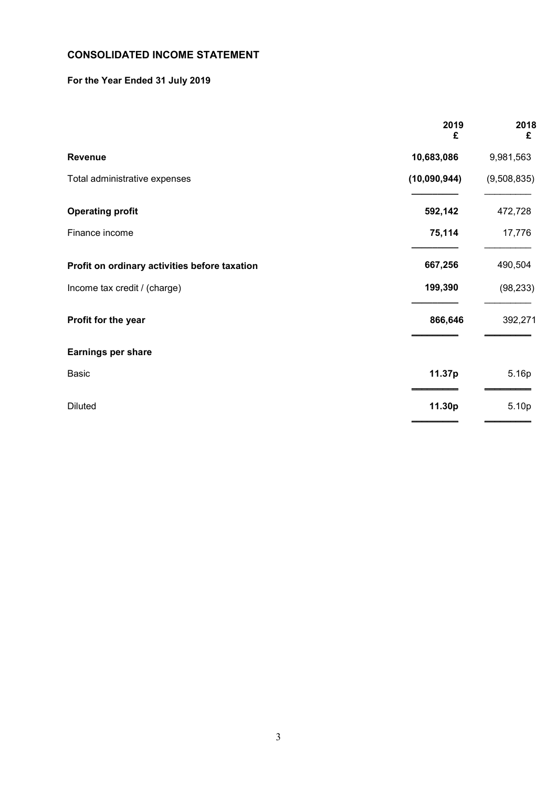# **CONSOLIDATED INCOME STATEMENT**

# **For the Year Ended 31 July 2019**

|                                               | 2019<br>£    | 2018<br>£   |
|-----------------------------------------------|--------------|-------------|
| <b>Revenue</b>                                | 10,683,086   | 9,981,563   |
| Total administrative expenses                 | (10,090,944) | (9,508,835) |
| <b>Operating profit</b>                       | 592,142      | 472,728     |
| Finance income                                | 75,114       | 17,776      |
| Profit on ordinary activities before taxation | 667,256      | 490,504     |
| Income tax credit / (charge)                  | 199,390      | (98, 233)   |
| Profit for the year                           | 866,646      | 392,271     |
| Earnings per share                            |              |             |
| Basic                                         | 11.37p       | 5.16p       |
| <b>Diluted</b>                                | 11.30p       | 5.10p       |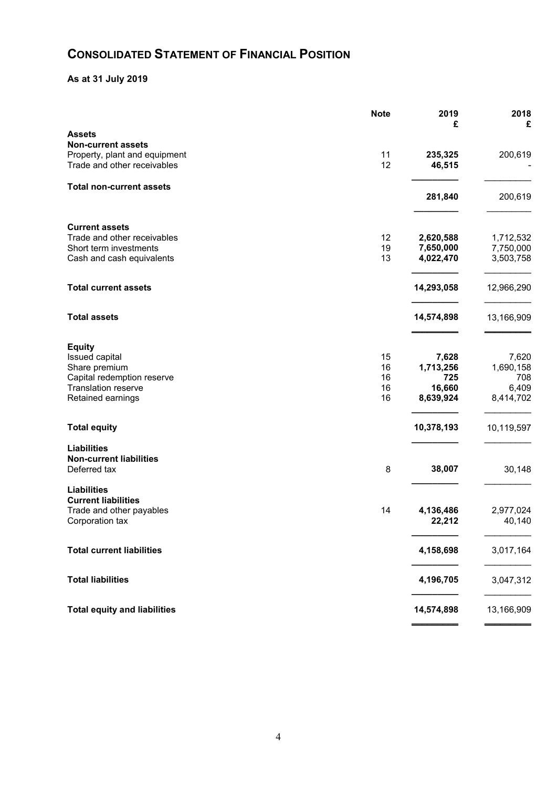# **CONSOLIDATED STATEMENT OF FINANCIAL POSITION**

# **As at 31 July 2019**

|                                             | <b>Note</b> | 2019<br>£           | 2018<br>£           |
|---------------------------------------------|-------------|---------------------|---------------------|
| <b>Assets</b>                               |             |                     |                     |
| <b>Non-current assets</b>                   |             |                     |                     |
| Property, plant and equipment               | 11          | 235,325             | 200,619             |
| Trade and other receivables                 | 12          | 46,515              |                     |
| <b>Total non-current assets</b>             |             | 281,840             | 200,619             |
|                                             |             |                     |                     |
| <b>Current assets</b>                       |             |                     |                     |
| Trade and other receivables                 | 12          | 2,620,588           | 1,712,532           |
| Short term investments                      | 19          | 7,650,000           | 7,750,000           |
| Cash and cash equivalents                   | 13          | 4,022,470           | 3,503,758           |
| <b>Total current assets</b>                 |             | 14,293,058          | 12,966,290          |
| <b>Total assets</b>                         |             | 14,574,898          | 13,166,909          |
|                                             |             |                     |                     |
| <b>Equity</b>                               |             | 7,628               |                     |
| Issued capital<br>Share premium             | 15<br>16    | 1,713,256           | 7,620<br>1,690,158  |
| Capital redemption reserve                  | 16          | 725                 | 708                 |
| <b>Translation reserve</b>                  | 16          | 16,660              | 6,409               |
| Retained earnings                           | 16          | 8,639,924           | 8,414,702           |
| <b>Total equity</b>                         |             | 10,378,193          | 10,119,597          |
| <b>Liabilities</b>                          |             |                     |                     |
| <b>Non-current liabilities</b>              |             |                     |                     |
| Deferred tax                                | 8           | 38,007              | 30,148              |
| <b>Liabilities</b>                          |             |                     |                     |
| <b>Current liabilities</b>                  |             |                     |                     |
| Trade and other payables<br>Corporation tax | 14          | 4,136,486<br>22,212 | 2,977,024<br>40,140 |
|                                             |             |                     |                     |
| <b>Total current liabilities</b>            |             | 4,158,698           | 3,017,164           |
| <b>Total liabilities</b>                    |             | 4,196,705           | 3,047,312           |
| <b>Total equity and liabilities</b>         |             | 14,574,898          | 13,166,909          |
|                                             |             |                     |                     |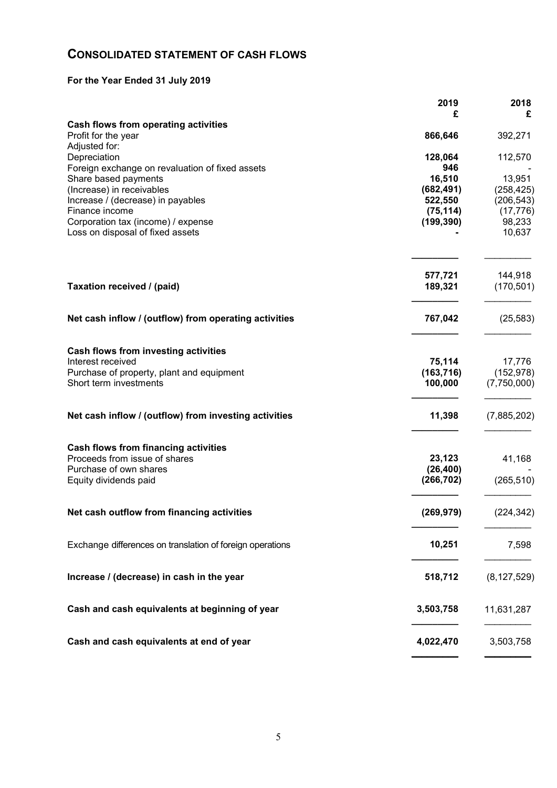# **CONSOLIDATED STATEMENT OF CASH FLOWS**

# **For the Year Ended 31 July 2019**

|                                                                 | 2019<br>£          | 2018<br>£             |
|-----------------------------------------------------------------|--------------------|-----------------------|
| Cash flows from operating activities                            |                    |                       |
| Profit for the year                                             | 866,646            | 392,271               |
| Adjusted for:                                                   |                    |                       |
| Depreciation<br>Foreign exchange on revaluation of fixed assets | 128,064<br>946     | 112,570               |
| Share based payments                                            | 16,510             | 13,951                |
| (Increase) in receivables                                       | (682, 491)         | (258, 425)            |
| Increase / (decrease) in payables                               | 522,550            | (206, 543)            |
| Finance income                                                  | (75, 114)          | (17, 776)             |
| Corporation tax (income) / expense                              | (199, 390)         | 98,233                |
| Loss on disposal of fixed assets                                |                    | 10,637                |
|                                                                 |                    |                       |
| Taxation received / (paid)                                      | 577,721<br>189,321 | 144,918<br>(170, 501) |
|                                                                 |                    |                       |
| Net cash inflow / (outflow) from operating activities           | 767,042            | (25, 583)             |
| Cash flows from investing activities                            |                    |                       |
| Interest received                                               | 75,114             | 17,776                |
| Purchase of property, plant and equipment                       | (163, 716)         | (152, 978)            |
| Short term investments                                          | 100,000            | (7,750,000)           |
| Net cash inflow / (outflow) from investing activities           | 11,398             | (7,885,202)           |
| <b>Cash flows from financing activities</b>                     |                    |                       |
| Proceeds from issue of shares                                   | 23,123             | 41,168                |
| Purchase of own shares                                          | (26, 400)          |                       |
| Equity dividends paid                                           | (266, 702)         | (265, 510)            |
| Net cash outflow from financing activities                      | (269, 979)         | (224, 342)            |
| Exchange differences on translation of foreign operations       | 10,251             | 7,598                 |
| Increase / (decrease) in cash in the year                       | 518,712            | (8, 127, 529)         |
| Cash and cash equivalents at beginning of year                  | 3,503,758          | 11,631,287            |
| Cash and cash equivalents at end of year                        | 4,022,470          | 3,503,758             |
|                                                                 |                    |                       |